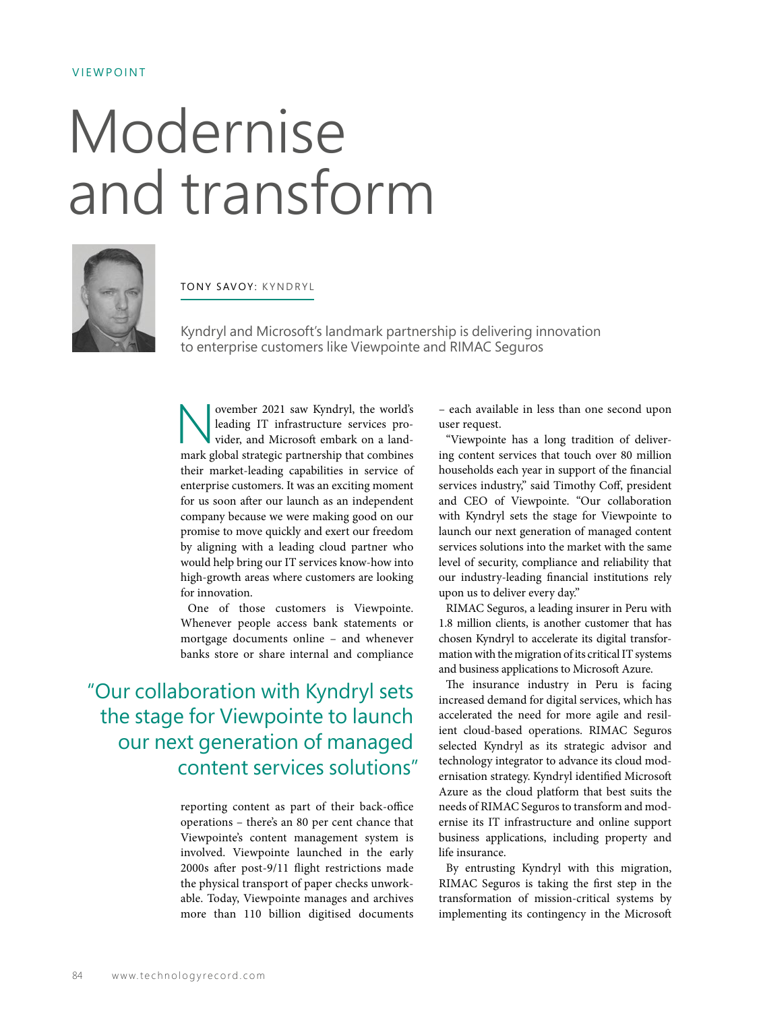## VIEWPOINT

## Modernise and transform



TONY SAVOY: KYNDRYL

Kyndryl and Microsoft's landmark partnership is delivering innovation to enterprise customers like Viewpointe and RIMAC Seguros

November 2021 saw Kyndryl, the world's<br>
leading IT infrastructure services pro-<br>
vider, and Microsoft embark on a land-<br>
mark global strategic partnership that combines leading IT infrastructure services provider, and Microsoft embark on a landmark global strategic partnership that combines their market-leading capabilities in service of enterprise customers. It was an exciting moment for us soon after our launch as an independent company because we were making good on our promise to move quickly and exert our freedom by aligning with a leading cloud partner who would help bring our IT services know-how into high-growth areas where customers are looking for innovation.

One of those customers is Viewpointe. Whenever people access bank statements or mortgage documents online – and whenever banks store or share internal and compliance

"Our collaboration with Kyndryl sets the stage for Viewpointe to launch our next generation of managed content services solutions"

> reporting content as part of their back-office operations – there's an 80 per cent chance that Viewpointe's content management system is involved. Viewpointe launched in the early 2000s after post-9/11 flight restrictions made the physical transport of paper checks unworkable. Today, Viewpointe manages and archives more than 110 billion digitised documents

– each available in less than one second upon user request.

"Viewpointe has a long tradition of delivering content services that touch over 80 million households each year in support of the financial services industry," said Timothy Coff, president and CEO of Viewpointe. "Our collaboration with Kyndryl sets the stage for Viewpointe to launch our next generation of managed content services solutions into the market with the same level of security, compliance and reliability that our industry-leading financial institutions rely upon us to deliver every day."

RIMAC Seguros, a leading insurer in Peru with 1.8 million clients, is another customer that has chosen Kyndryl to accelerate its digital transformation with the migration of its critical IT systems and business applications to Microsoft Azure.

The insurance industry in Peru is facing increased demand for digital services, which has accelerated the need for more agile and resilient cloud-based operations. RIMAC Seguros selected Kyndryl as its strategic advisor and technology integrator to advance its cloud modernisation strategy. Kyndryl identified Microsoft Azure as the cloud platform that best suits the needs of RIMAC Seguros to transform and modernise its IT infrastructure and online support business applications, including property and life insurance.

By entrusting Kyndryl with this migration, RIMAC Seguros is taking the first step in the transformation of mission-critical systems by implementing its contingency in the Microsoft